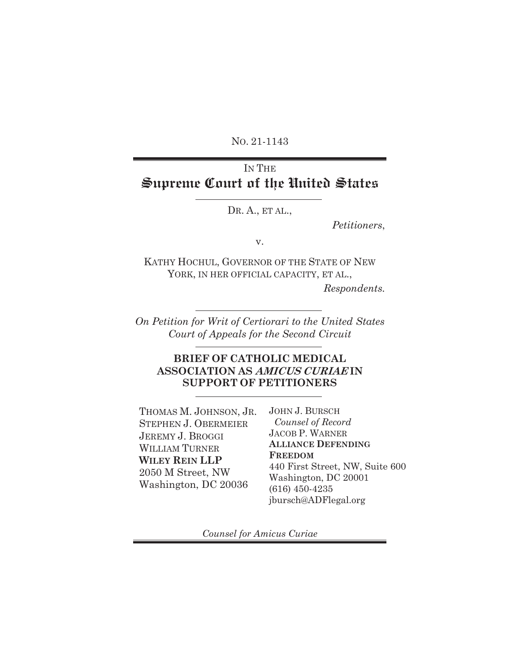NO. 21-1143

# IN THE **Supreme Court of the United States**

DR. A., ET AL.,

*Petitioners*,

v.

KATHY HOCHUL, GOVERNOR OF THE STATE OF NEW YORK, IN HER OFFICIAL CAPACITY, ET AL.,

*Respondents.*

*On Petition for Writ of Certiorari to the United States Court of Appeals for the Second Circuit*

### **BRIEF OF CATHOLIC MEDICAL ASSOCIATION AS AMICUS CURIAE IN SUPPORT OF PETITIONERS**

THOMAS M. JOHNSON, JR. STEPHEN J. OBERMEIER JEREMY J. BROGGI WILLIAM TURNER **WILEY REIN LLP** 2050 M Street, NW Washington, DC 20036

JOHN J. BURSCH  *Counsel of Record*  JACOB P. WARNER **ALLIANCE DEFENDING FREEDOM** 440 First Street, NW, Suite 600 Washington, DC 20001 (616) 450-4235 jbursch@ADFlegal.org

*Counsel for Amicus Curiae*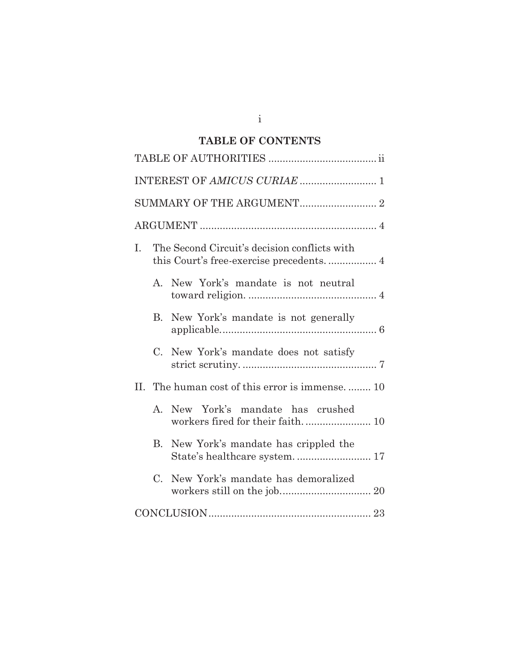# **TABLE OF CONTENTS**

| L.                                               | The Second Circuit's decision conflicts with |  |  |  |
|--------------------------------------------------|----------------------------------------------|--|--|--|
| $\mathbf{A}$                                     | New York's mandate is not neutral            |  |  |  |
| $\mathbf{B}$                                     | New York's mandate is not generally          |  |  |  |
| $C_{\cdot}$                                      | New York's mandate does not satisfy          |  |  |  |
| II. The human cost of this error is immense.  10 |                                              |  |  |  |
|                                                  | A. New York's mandate has crushed            |  |  |  |
| $\mathbf{B}$                                     | New York's mandate has crippled the          |  |  |  |
| $C_{\cdot}$                                      | New York's mandate has demoralized           |  |  |  |
|                                                  |                                              |  |  |  |

i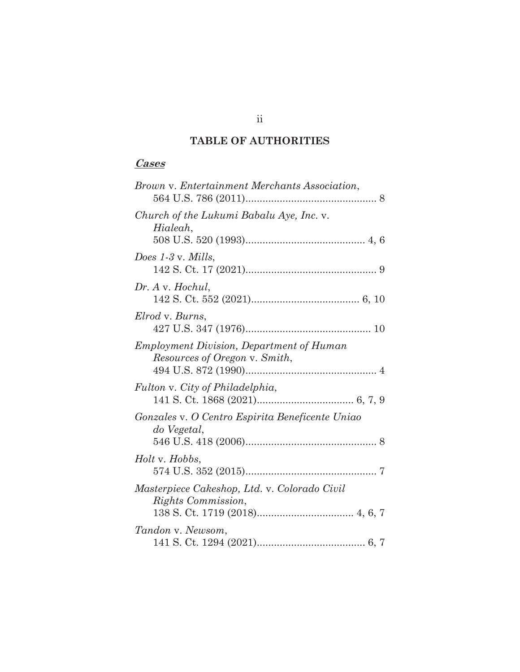# **TABLE OF AUTHORITIES**

### **Cases**

| Brown v. Entertainment Merchants Association,                                    |
|----------------------------------------------------------------------------------|
| Church of the Lukumi Babalu Aye, Inc. v.<br>Hialeah,                             |
| Does $1-3$ v. Mills,                                                             |
| Dr. A v. Hochul,                                                                 |
| Elrod v. Burns,                                                                  |
| <b>Employment Division, Department of Human</b><br>Resources of Oregon v. Smith, |
| Fulton v. City of Philadelphia,                                                  |
| Gonzales v. O Centro Espirita Beneficente Uniao<br>do Vegetal,                   |
| Holt v. Hobbs,                                                                   |
| Masterpiece Cakeshop, Ltd. v. Colorado Civil<br><i>Rights Commission,</i>        |
| Tandon v. Newsom,                                                                |

ii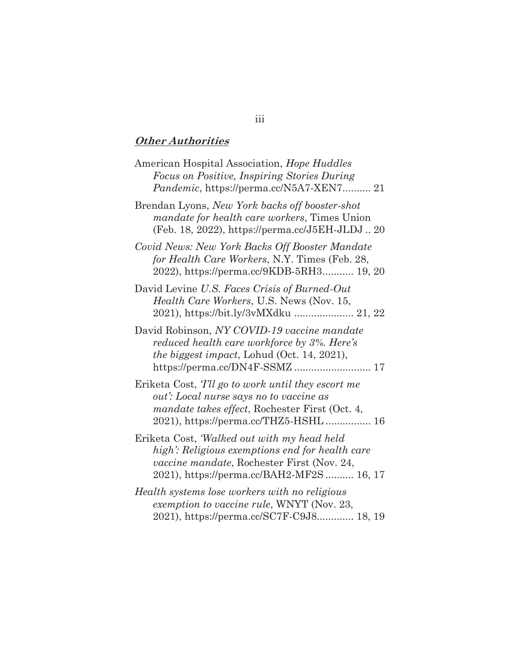## **Other Authorities**

| American Hospital Association, Hope Huddles<br>Focus on Positive, Inspiring Stories During<br><i>Pandemic</i> , https://perma.cc/N5A7-XEN7 21                                                   |
|-------------------------------------------------------------------------------------------------------------------------------------------------------------------------------------------------|
| Brendan Lyons, New York backs off booster-shot<br><i>mandate for health care workers</i> , Times Union<br>(Feb. 18, 2022), https://perma.cc/J5EH-JLDJ20                                         |
| Covid News: New York Backs Off Booster Mandate<br>for Health Care Workers, N.Y. Times (Feb. 28,<br>2022), https://perma.cc/9KDB-5RH3 19, 20                                                     |
| David Levine U.S. Faces Crisis of Burned-Out<br>Health Care Workers, U.S. News (Nov. 15,<br>2021), https://bit.ly/3vMXdku  21, 22                                                               |
| David Robinson, NY COVID-19 vaccine mandate<br>reduced health care workforce by 3%. Here's<br><i>the biggest impact</i> , Lohud (Oct. 14, 2021),                                                |
| Eriketa Cost, Tll go to work until they escort me<br>out': Local nurse says no to vaccine as<br><i>mandate takes effect</i> , Rochester First (Oct. 4,<br>2021), https://perma.cc/THZ5-HSHL 16  |
| Eriketa Cost, Walked out with my head held<br>high': Religious exemptions end for health care<br><i>vaccine mandate</i> , Rochester First (Nov. 24,<br>2021), https://perma.cc/BAH2-MF2S 16, 17 |
| Health systems lose workers with no religious<br>exemption to vaccine rule, WNYT (Nov. 23,<br>2021), https://perma.cc/SC7F-C9J8 18, 19                                                          |

# iii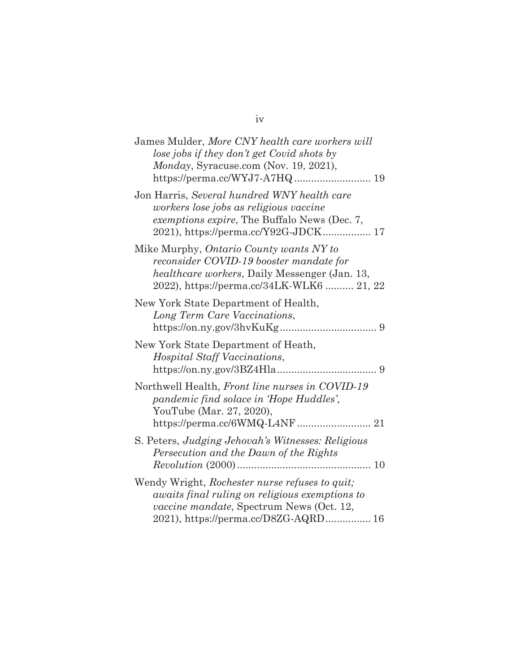| James Mulder, More CNY health care workers will<br>lose jobs if they don't get Covid shots by<br>Monday, Syracuse.com (Nov. 19, 2021),                                                              |
|-----------------------------------------------------------------------------------------------------------------------------------------------------------------------------------------------------|
| Jon Harris, Several hundred WNY health care<br>workers lose jobs as religious vaccine<br>exemptions expire, The Buffalo News (Dec. 7,<br>2021), https://perma.cc/Y92G-JDCK 17                       |
| Mike Murphy, <i>Ontario County wants NY to</i><br>reconsider COVID-19 booster mandate for<br>healthcare workers, Daily Messenger (Jan. 13,<br>2022), https://perma.cc/34LK-WLK6  21, 22             |
| New York State Department of Health,<br>Long Term Care Vaccinations,                                                                                                                                |
| New York State Department of Heath,<br>Hospital Staff Vaccinations,                                                                                                                                 |
| Northwell Health, Front line nurses in COVID-19<br>pandemic find solace in 'Hope Huddles',<br>YouTube (Mar. 27, 2020),<br>https://perma.cc/6WMQ-L4NF 21                                             |
| S. Peters, Judging Jehovah's Witnesses: Religious<br>Persecution and the Dawn of the Rights                                                                                                         |
| Wendy Wright, Rochester nurse refuses to quit;<br><i>awaits final ruling on religious exemptions to</i><br><i>vaccine mandate</i> , Spectrum News (Oct. 12,<br>2021), https://perma.cc/D8ZG-AQRD 16 |

## iv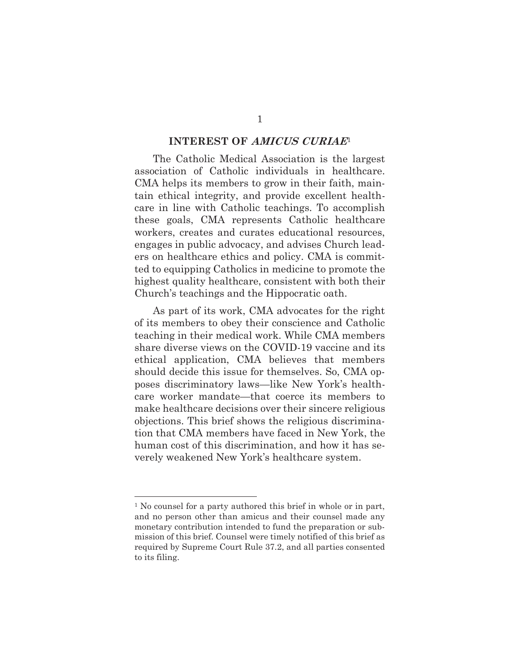#### **INTEREST OF AMICUS CURIAE**<sup>1</sup>

The Catholic Medical Association is the largest association of Catholic individuals in healthcare. CMA helps its members to grow in their faith, maintain ethical integrity, and provide excellent healthcare in line with Catholic teachings. To accomplish these goals, CMA represents Catholic healthcare workers, creates and curates educational resources, engages in public advocacy, and advises Church leaders on healthcare ethics and policy. CMA is committed to equipping Catholics in medicine to promote the highest quality healthcare, consistent with both their Church's teachings and the Hippocratic oath.

As part of its work, CMA advocates for the right of its members to obey their conscience and Catholic teaching in their medical work. While CMA members share diverse views on the COVID-19 vaccine and its ethical application, CMA believes that members should decide this issue for themselves. So, CMA opposes discriminatory laws—like New York's healthcare worker mandate—that coerce its members to make healthcare decisions over their sincere religious objections. This brief shows the religious discrimination that CMA members have faced in New York, the human cost of this discrimination, and how it has severely weakened New York's healthcare system.

<sup>1</sup> No counsel for a party authored this brief in whole or in part, and no person other than amicus and their counsel made any monetary contribution intended to fund the preparation or submission of this brief. Counsel were timely notified of this brief as required by Supreme Court Rule 37.2, and all parties consented to its filing.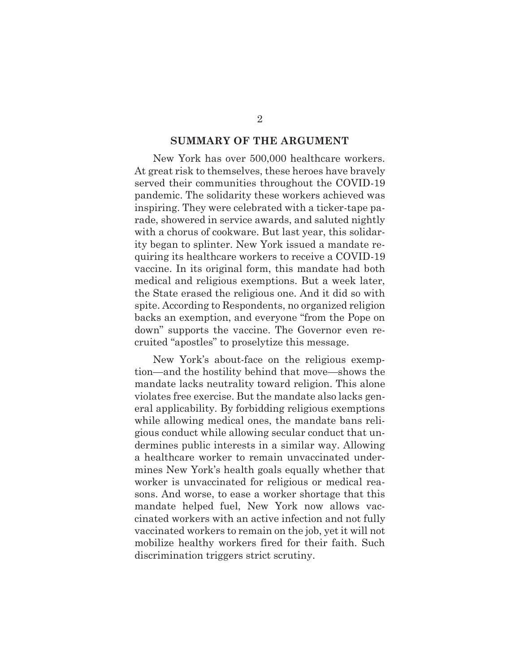#### **SUMMARY OF THE ARGUMENT**

New York has over 500,000 healthcare workers. At great risk to themselves, these heroes have bravely served their communities throughout the COVID-19 pandemic. The solidarity these workers achieved was inspiring. They were celebrated with a ticker-tape parade, showered in service awards, and saluted nightly with a chorus of cookware. But last year, this solidarity began to splinter. New York issued a mandate requiring its healthcare workers to receive a COVID-19 vaccine. In its original form, this mandate had both medical and religious exemptions. But a week later, the State erased the religious one. And it did so with spite. According to Respondents, no organized religion backs an exemption, and everyone "from the Pope on down" supports the vaccine. The Governor even recruited "apostles" to proselytize this message.

 New York's about-face on the religious exemption—and the hostility behind that move—shows the mandate lacks neutrality toward religion. This alone violates free exercise. But the mandate also lacks general applicability. By forbidding religious exemptions while allowing medical ones, the mandate bans religious conduct while allowing secular conduct that undermines public interests in a similar way. Allowing a healthcare worker to remain unvaccinated undermines New York's health goals equally whether that worker is unvaccinated for religious or medical reasons. And worse, to ease a worker shortage that this mandate helped fuel, New York now allows vaccinated workers with an active infection and not fully vaccinated workers to remain on the job, yet it will not mobilize healthy workers fired for their faith. Such discrimination triggers strict scrutiny.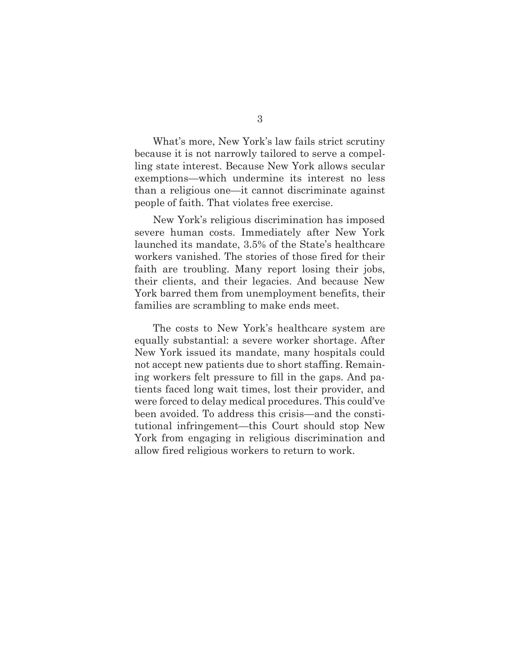What's more, New York's law fails strict scrutiny because it is not narrowly tailored to serve a compelling state interest. Because New York allows secular exemptions—which undermine its interest no less than a religious one—it cannot discriminate against people of faith. That violates free exercise.

 New York's religious discrimination has imposed severe human costs. Immediately after New York launched its mandate, 3.5% of the State's healthcare workers vanished. The stories of those fired for their faith are troubling. Many report losing their jobs, their clients, and their legacies. And because New York barred them from unemployment benefits, their families are scrambling to make ends meet.

 The costs to New York's healthcare system are equally substantial: a severe worker shortage. After New York issued its mandate, many hospitals could not accept new patients due to short staffing. Remaining workers felt pressure to fill in the gaps. And patients faced long wait times, lost their provider, and were forced to delay medical procedures. This could've been avoided. To address this crisis—and the constitutional infringement—this Court should stop New York from engaging in religious discrimination and allow fired religious workers to return to work.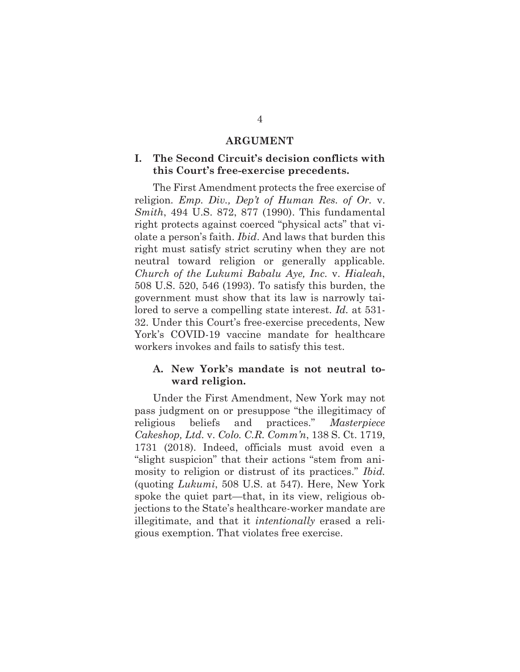#### **ARGUMENT**

### **I. The Second Circuit's decision conflicts with this Court's free-exercise precedents.**

The First Amendment protects the free exercise of religion. *Emp. Div., Dep't of Human Res. of Or.* v. *Smith*, 494 U.S. 872, 877 (1990). This fundamental right protects against coerced "physical acts" that violate a person's faith. *Ibid*. And laws that burden this right must satisfy strict scrutiny when they are not neutral toward religion or generally applicable. *Church of the Lukumi Babalu Aye, Inc.* v. *Hialeah*, 508 U.S. 520, 546 (1993). To satisfy this burden, the government must show that its law is narrowly tailored to serve a compelling state interest. *Id.* at 531- 32. Under this Court's free-exercise precedents, New York's COVID-19 vaccine mandate for healthcare workers invokes and fails to satisfy this test.

#### **A. New York's mandate is not neutral toward religion.**

Under the First Amendment, New York may not pass judgment on or presuppose "the illegitimacy of religious beliefs and practices." *Masterpiece Cakeshop, Ltd.* v. *Colo. C.R. Comm'n*, 138 S. Ct. 1719, 1731 (2018). Indeed, officials must avoid even a "slight suspicion" that their actions "stem from animosity to religion or distrust of its practices." *Ibid.*  (quoting *Lukumi*, 508 U.S. at 547). Here, New York spoke the quiet part—that, in its view, religious objections to the State's healthcare-worker mandate are illegitimate, and that it *intentionally* erased a religious exemption. That violates free exercise.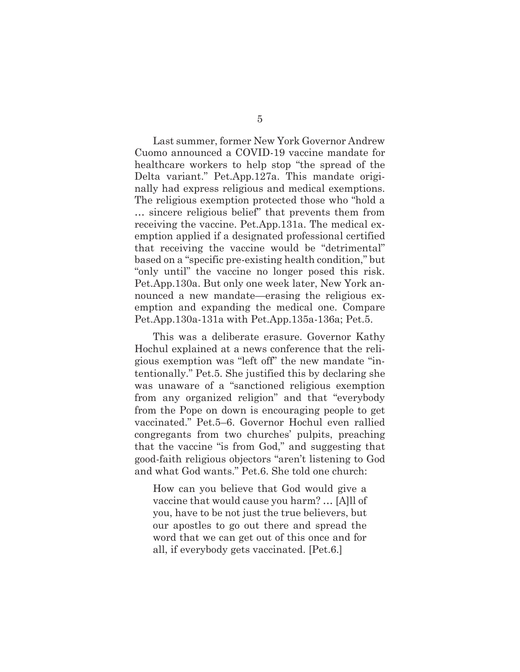Last summer, former New York Governor Andrew Cuomo announced a COVID-19 vaccine mandate for healthcare workers to help stop "the spread of the Delta variant." Pet.App.127a. This mandate originally had express religious and medical exemptions. The religious exemption protected those who "hold a … sincere religious belief" that prevents them from receiving the vaccine. Pet.App.131a. The medical exemption applied if a designated professional certified that receiving the vaccine would be "detrimental" based on a "specific pre-existing health condition," but "only until" the vaccine no longer posed this risk. Pet.App.130a. But only one week later, New York announced a new mandate—erasing the religious exemption and expanding the medical one. Compare Pet.App.130a-131a with Pet.App.135a-136a; Pet.5.

This was a deliberate erasure. Governor Kathy Hochul explained at a news conference that the religious exemption was "left off" the new mandate "intentionally." Pet.5. She justified this by declaring she was unaware of a "sanctioned religious exemption from any organized religion" and that "everybody from the Pope on down is encouraging people to get vaccinated." Pet.5–6. Governor Hochul even rallied congregants from two churches' pulpits, preaching that the vaccine "is from God," and suggesting that good-faith religious objectors "aren't listening to God and what God wants." Pet.6. She told one church:

How can you believe that God would give a vaccine that would cause you harm? … [A]ll of you, have to be not just the true believers, but our apostles to go out there and spread the word that we can get out of this once and for all, if everybody gets vaccinated. [Pet.6.]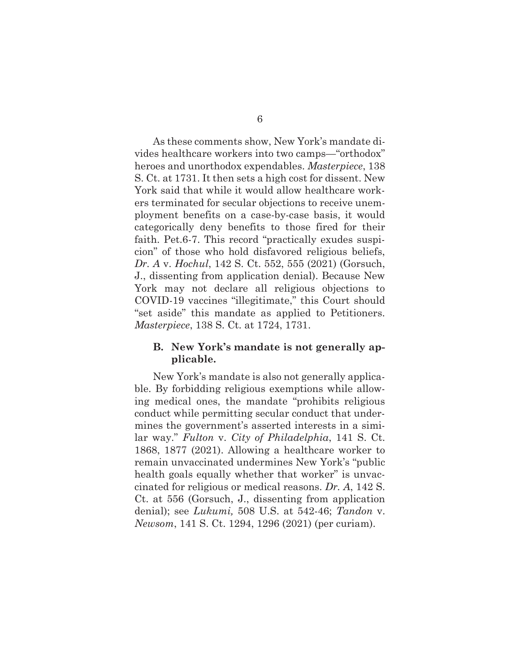As these comments show, New York's mandate divides healthcare workers into two camps—"orthodox" heroes and unorthodox expendables. *Masterpiece*, 138 S. Ct. at 1731. It then sets a high cost for dissent. New York said that while it would allow healthcare workers terminated for secular objections to receive unemployment benefits on a case-by-case basis, it would categorically deny benefits to those fired for their faith. Pet.6-7. This record "practically exudes suspicion" of those who hold disfavored religious beliefs, *Dr. A* v. *Hochul*, 142 S. Ct. 552, 555 (2021) (Gorsuch, J., dissenting from application denial). Because New York may not declare all religious objections to COVID-19 vaccines "illegitimate," this Court should "set aside" this mandate as applied to Petitioners. *Masterpiece*, 138 S. Ct. at 1724, 1731.

#### **B. New York's mandate is not generally applicable.**

New York's mandate is also not generally applicable. By forbidding religious exemptions while allowing medical ones, the mandate "prohibits religious conduct while permitting secular conduct that undermines the government's asserted interests in a similar way." *Fulton* v. *City of Philadelphia*, 141 S. Ct. 1868, 1877 (2021). Allowing a healthcare worker to remain unvaccinated undermines New York's "public health goals equally whether that worker" is unvaccinated for religious or medical reasons. *Dr. A*, 142 S. Ct. at 556 (Gorsuch, J., dissenting from application denial); see *Lukumi,* 508 U.S. at 542-46; *Tandon* v. *Newsom*, 141 S. Ct. 1294, 1296 (2021) (per curiam).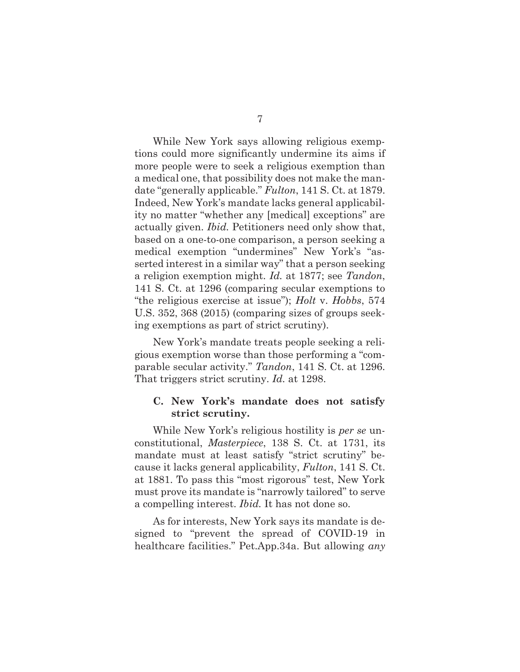While New York says allowing religious exemptions could more significantly undermine its aims if more people were to seek a religious exemption than a medical one, that possibility does not make the mandate "generally applicable." *Fulton*, 141 S. Ct. at 1879. Indeed, New York's mandate lacks general applicability no matter "whether any [medical] exceptions" are actually given. *Ibid.* Petitioners need only show that, based on a one-to-one comparison, a person seeking a medical exemption "undermines" New York's "asserted interest in a similar way" that a person seeking a religion exemption might. *Id.* at 1877; see *Tandon*, 141 S. Ct. at 1296 (comparing secular exemptions to "the religious exercise at issue"); *Holt* v. *Hobbs*, 574 U.S. 352, 368 (2015) (comparing sizes of groups seeking exemptions as part of strict scrutiny).

New York's mandate treats people seeking a religious exemption worse than those performing a "comparable secular activity." *Tandon*, 141 S. Ct. at 1296. That triggers strict scrutiny. *Id.* at 1298.

#### **C. New York's mandate does not satisfy strict scrutiny.**

While New York's religious hostility is *per se* unconstitutional, *Masterpiece*, 138 S. Ct. at 1731, its mandate must at least satisfy "strict scrutiny" because it lacks general applicability, *Fulton*, 141 S. Ct. at 1881. To pass this "most rigorous" test, New York must prove its mandate is "narrowly tailored" to serve a compelling interest. *Ibid.* It has not done so.

As for interests, New York says its mandate is designed to "prevent the spread of COVID-19 in healthcare facilities." Pet.App.34a. But allowing *any*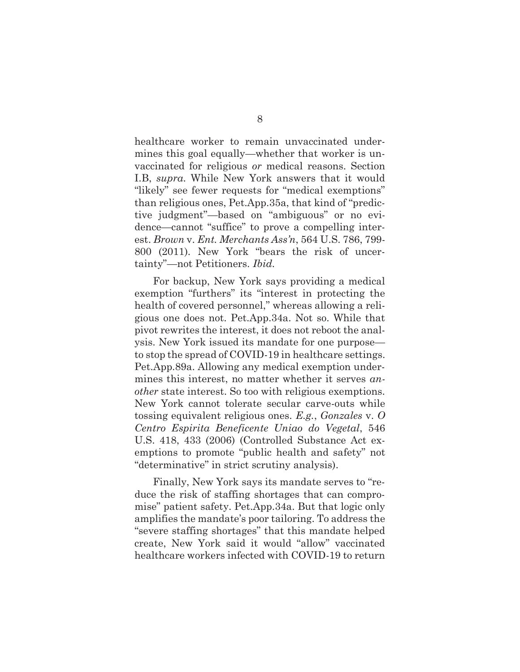healthcare worker to remain unvaccinated undermines this goal equally—whether that worker is unvaccinated for religious *or* medical reasons. Section I.B, *supra*. While New York answers that it would "likely" see fewer requests for "medical exemptions" than religious ones, Pet.App.35a, that kind of "predictive judgment"—based on "ambiguous" or no evidence—cannot "suffice" to prove a compelling interest. *Brown* v. *Ent. Merchants Ass'n*, 564 U.S. 786, 799- 800 (2011)*.* New York "bears the risk of uncertainty"—not Petitioners. *Ibid.*

For backup, New York says providing a medical exemption "furthers" its "interest in protecting the health of covered personnel," whereas allowing a religious one does not. Pet.App.34a. Not so. While that pivot rewrites the interest, it does not reboot the analysis. New York issued its mandate for one purpose to stop the spread of COVID-19 in healthcare settings. Pet.App.89a. Allowing any medical exemption undermines this interest, no matter whether it serves *another* state interest. So too with religious exemptions. New York cannot tolerate secular carve-outs while tossing equivalent religious ones. *E.g.*, *Gonzales* v. *O Centro Espirita Beneficente Uniao do Vegetal*, 546 U.S. 418, 433 (2006) (Controlled Substance Act exemptions to promote "public health and safety" not "determinative" in strict scrutiny analysis).

Finally, New York says its mandate serves to "reduce the risk of staffing shortages that can compromise" patient safety. Pet.App.34a. But that logic only amplifies the mandate's poor tailoring. To address the "severe staffing shortages" that this mandate helped create, New York said it would "allow" vaccinated healthcare workers infected with COVID-19 to return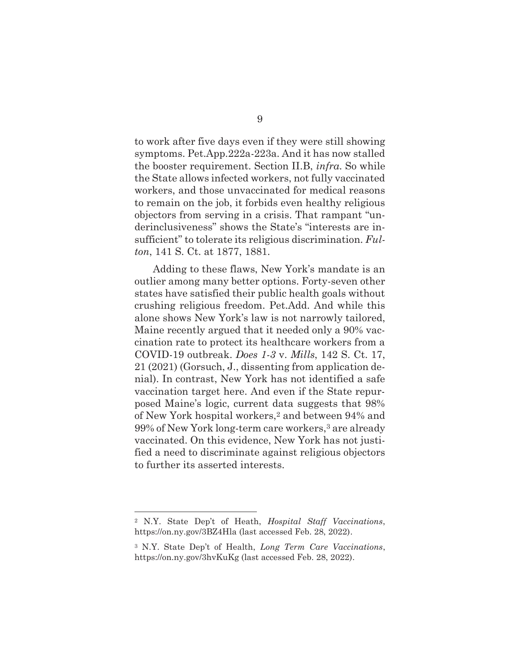to work after five days even if they were still showing symptoms. Pet.App.222a-223a. And it has now stalled the booster requirement. Section II.B, *infra*. So while the State allows infected workers, not fully vaccinated workers, and those unvaccinated for medical reasons to remain on the job, it forbids even healthy religious objectors from serving in a crisis. That rampant "underinclusiveness" shows the State's "interests are insufficient" to tolerate its religious discrimination. *Fulton*, 141 S. Ct. at 1877, 1881.

Adding to these flaws, New York's mandate is an outlier among many better options. Forty-seven other states have satisfied their public health goals without crushing religious freedom. Pet.Add. And while this alone shows New York's law is not narrowly tailored, Maine recently argued that it needed only a 90% vaccination rate to protect its healthcare workers from a COVID-19 outbreak. *Does 1-3* v. *Mills*, 142 S. Ct. 17, 21 (2021) (Gorsuch, J., dissenting from application denial). In contrast, New York has not identified a safe vaccination target here. And even if the State repurposed Maine's logic, current data suggests that 98% of New York hospital workers,2 and between 94% and 99% of New York long-term care workers,3 are already vaccinated. On this evidence, New York has not justified a need to discriminate against religious objectors to further its asserted interests.

<sup>2</sup> N.Y. State Dep't of Heath, *Hospital Staff Vaccinations*, https://on.ny.gov/3BZ4Hla (last accessed Feb. 28, 2022).

<sup>3</sup> N.Y. State Dep't of Health, *Long Term Care Vaccinations*, https://on.ny.gov/3hvKuKg (last accessed Feb. 28, 2022).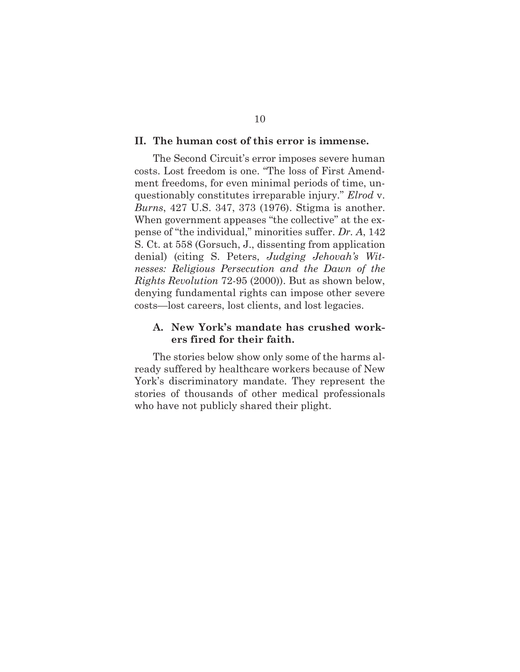#### **II. The human cost of this error is immense.**

The Second Circuit's error imposes severe human costs. Lost freedom is one. "The loss of First Amendment freedoms, for even minimal periods of time, unquestionably constitutes irreparable injury." *Elrod* v. *Burns*, 427 U.S. 347, 373 (1976). Stigma is another. When government appeases "the collective" at the expense of "the individual," minorities suffer. *Dr. A*, 142 S. Ct. at 558 (Gorsuch, J., dissenting from application denial) (citing S. Peters, *Judging Jehovah's Witnesses: Religious Persecution and the Dawn of the Rights Revolution* 72-95 (2000)). But as shown below, denying fundamental rights can impose other severe costs—lost careers, lost clients, and lost legacies.

#### **A. New York's mandate has crushed workers fired for their faith.**

The stories below show only some of the harms already suffered by healthcare workers because of New York's discriminatory mandate. They represent the stories of thousands of other medical professionals who have not publicly shared their plight.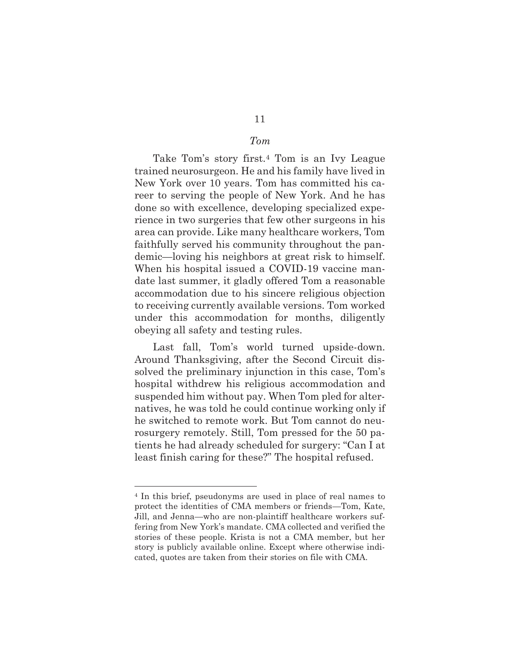### *Tom*

Take Tom's story first.4 Tom is an Ivy League trained neurosurgeon. He and his family have lived in New York over 10 years. Tom has committed his career to serving the people of New York. And he has done so with excellence, developing specialized experience in two surgeries that few other surgeons in his area can provide. Like many healthcare workers, Tom faithfully served his community throughout the pandemic—loving his neighbors at great risk to himself. When his hospital issued a COVID-19 vaccine mandate last summer, it gladly offered Tom a reasonable accommodation due to his sincere religious objection to receiving currently available versions. Tom worked under this accommodation for months, diligently obeying all safety and testing rules.

Last fall, Tom's world turned upside-down. Around Thanksgiving, after the Second Circuit dissolved the preliminary injunction in this case, Tom's hospital withdrew his religious accommodation and suspended him without pay. When Tom pled for alternatives, he was told he could continue working only if he switched to remote work. But Tom cannot do neurosurgery remotely. Still, Tom pressed for the 50 patients he had already scheduled for surgery: "Can I at least finish caring for these?" The hospital refused.

<sup>4</sup> In this brief, pseudonyms are used in place of real names to protect the identities of CMA members or friends—Tom, Kate, Jill, and Jenna—who are non-plaintiff healthcare workers suffering from New York's mandate. CMA collected and verified the stories of these people. Krista is not a CMA member, but her story is publicly available online. Except where otherwise indicated, quotes are taken from their stories on file with CMA.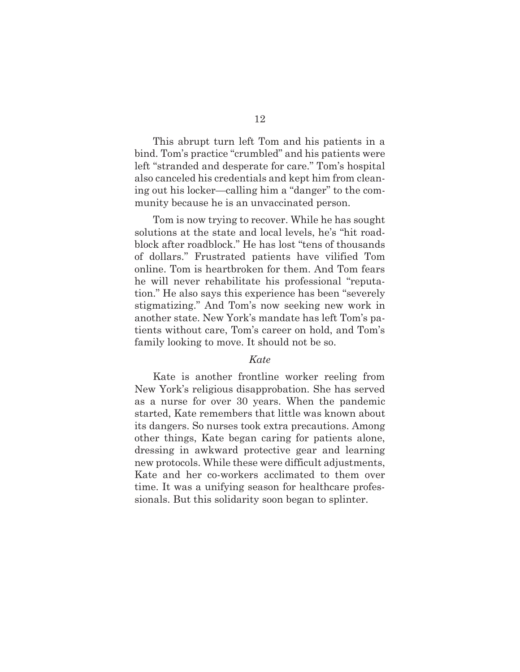This abrupt turn left Tom and his patients in a bind. Tom's practice "crumbled" and his patients were left "stranded and desperate for care." Tom's hospital also canceled his credentials and kept him from cleaning out his locker—calling him a "danger" to the community because he is an unvaccinated person.

Tom is now trying to recover. While he has sought solutions at the state and local levels, he's "hit roadblock after roadblock." He has lost "tens of thousands of dollars." Frustrated patients have vilified Tom online. Tom is heartbroken for them. And Tom fears he will never rehabilitate his professional "reputation." He also says this experience has been "severely stigmatizing." And Tom's now seeking new work in another state. New York's mandate has left Tom's patients without care, Tom's career on hold, and Tom's family looking to move. It should not be so.

#### *Kate*

Kate is another frontline worker reeling from New York's religious disapprobation. She has served as a nurse for over 30 years. When the pandemic started, Kate remembers that little was known about its dangers. So nurses took extra precautions. Among other things, Kate began caring for patients alone, dressing in awkward protective gear and learning new protocols. While these were difficult adjustments, Kate and her co-workers acclimated to them over time. It was a unifying season for healthcare professionals. But this solidarity soon began to splinter.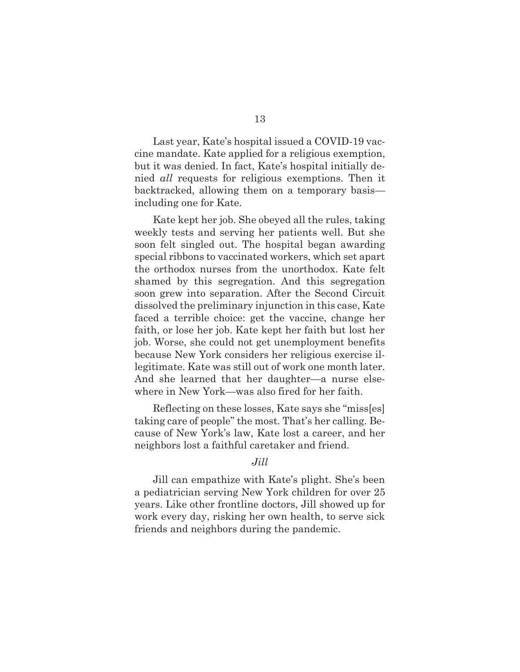Last year, Kate's hospital issued a COVID-19 vaccine mandate. Kate applied for a religious exemption, but it was denied. In fact, Kate's hospital initially denied *all* requests for religious exemptions. Then it backtracked, allowing them on a temporary basis including one for Kate.

Kate kept her job. She obeyed all the rules, taking weekly tests and serving her patients well. But she soon felt singled out. The hospital began awarding special ribbons to vaccinated workers, which set apart the orthodox nurses from the unorthodox. Kate felt shamed by this segregation. And this segregation soon grew into separation. After the Second Circuit dissolved the preliminary injunction in this case, Kate faced a terrible choice: get the vaccine, change her faith, or lose her job. Kate kept her faith but lost her job. Worse, she could not get unemployment benefits because New York considers her religious exercise illegitimate. Kate was still out of work one month later. And she learned that her daughter—a nurse elsewhere in New York—was also fired for her faith.

Reflecting on these losses, Kate says she "miss[es] taking care of people" the most. That's her calling. Because of New York's law, Kate lost a career, and her neighbors lost a faithful caretaker and friend.

#### *Jill*

 Jill can empathize with Kate's plight. She's been a pediatrician serving New York children for over 25 years. Like other frontline doctors, Jill showed up for work every day, risking her own health, to serve sick friends and neighbors during the pandemic.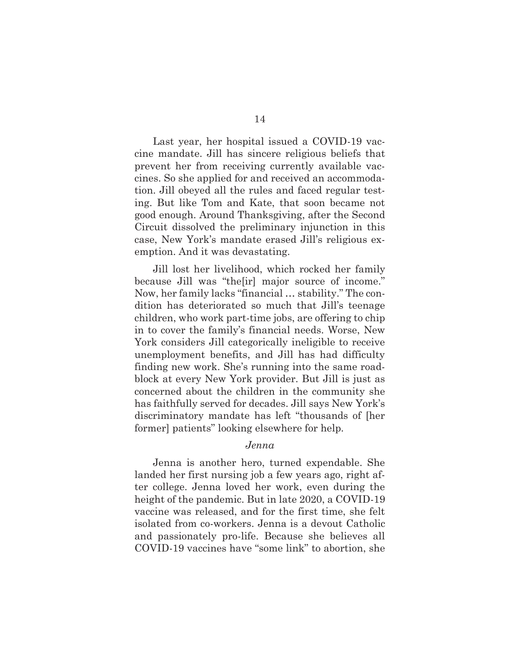Last year, her hospital issued a COVID-19 vaccine mandate. Jill has sincere religious beliefs that prevent her from receiving currently available vaccines. So she applied for and received an accommodation. Jill obeyed all the rules and faced regular testing. But like Tom and Kate, that soon became not good enough. Around Thanksgiving, after the Second Circuit dissolved the preliminary injunction in this case, New York's mandate erased Jill's religious exemption. And it was devastating.

 Jill lost her livelihood, which rocked her family because Jill was "the[ir] major source of income." Now, her family lacks "financial … stability." The condition has deteriorated so much that Jill's teenage children, who work part-time jobs, are offering to chip in to cover the family's financial needs. Worse, New York considers Jill categorically ineligible to receive unemployment benefits, and Jill has had difficulty finding new work. She's running into the same roadblock at every New York provider. But Jill is just as concerned about the children in the community she has faithfully served for decades. Jill says New York's discriminatory mandate has left "thousands of [her former] patients" looking elsewhere for help.

#### *Jenna*

Jenna is another hero, turned expendable. She landed her first nursing job a few years ago, right after college. Jenna loved her work, even during the height of the pandemic. But in late 2020, a COVID-19 vaccine was released, and for the first time, she felt isolated from co-workers. Jenna is a devout Catholic and passionately pro-life. Because she believes all COVID-19 vaccines have "some link" to abortion, she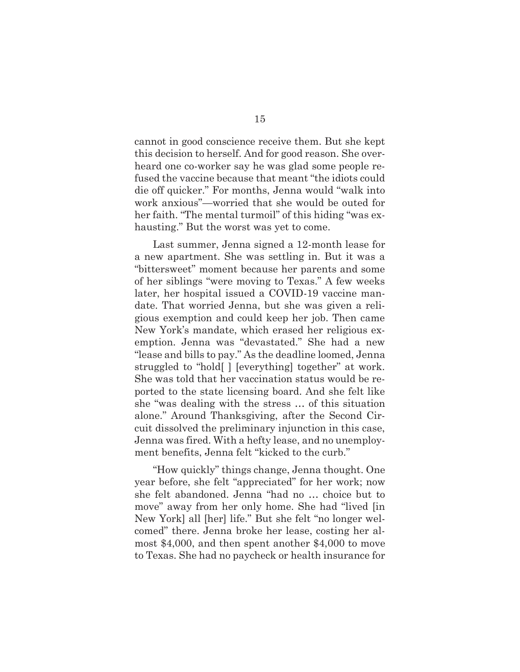cannot in good conscience receive them. But she kept this decision to herself. And for good reason. She overheard one co-worker say he was glad some people refused the vaccine because that meant "the idiots could die off quicker." For months, Jenna would "walk into work anxious"—worried that she would be outed for her faith. "The mental turmoil" of this hiding "was exhausting." But the worst was yet to come.

Last summer, Jenna signed a 12-month lease for a new apartment. She was settling in. But it was a "bittersweet" moment because her parents and some of her siblings "were moving to Texas." A few weeks later, her hospital issued a COVID-19 vaccine mandate. That worried Jenna, but she was given a religious exemption and could keep her job. Then came New York's mandate, which erased her religious exemption. Jenna was "devastated." She had a new "lease and bills to pay." As the deadline loomed, Jenna struggled to "hold[ ] [everything] together" at work. She was told that her vaccination status would be reported to the state licensing board. And she felt like she "was dealing with the stress … of this situation alone." Around Thanksgiving, after the Second Circuit dissolved the preliminary injunction in this case, Jenna was fired. With a hefty lease, and no unemployment benefits, Jenna felt "kicked to the curb."

"How quickly" things change, Jenna thought. One year before, she felt "appreciated" for her work; now she felt abandoned. Jenna "had no … choice but to move" away from her only home. She had "lived [in New York] all [her] life." But she felt "no longer welcomed" there. Jenna broke her lease, costing her almost \$4,000, and then spent another \$4,000 to move to Texas. She had no paycheck or health insurance for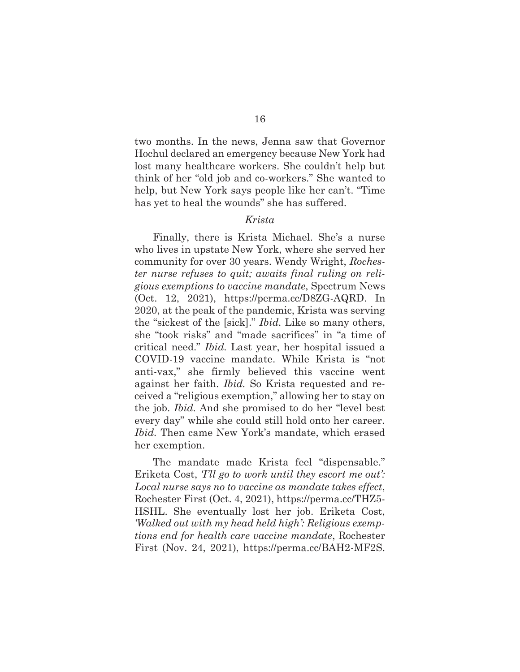two months. In the news, Jenna saw that Governor Hochul declared an emergency because New York had lost many healthcare workers. She couldn't help but think of her "old job and co-workers." She wanted to help, but New York says people like her can't. "Time has yet to heal the wounds" she has suffered.

#### *Krista*

 Finally, there is Krista Michael. She's a nurse who lives in upstate New York, where she served her community for over 30 years. Wendy Wright, *Rochester nurse refuses to quit; awaits final ruling on religious exemptions to vaccine mandate*, Spectrum News (Oct. 12, 2021), https://perma.cc/D8ZG-AQRD. In 2020, at the peak of the pandemic, Krista was serving the "sickest of the [sick]." *Ibid.* Like so many others, she "took risks" and "made sacrifices" in "a time of critical need." *Ibid.* Last year, her hospital issued a COVID-19 vaccine mandate. While Krista is "not anti-vax," she firmly believed this vaccine went against her faith. *Ibid.* So Krista requested and received a "religious exemption," allowing her to stay on the job. *Ibid.* And she promised to do her "level best every day" while she could still hold onto her career. *Ibid.* Then came New York's mandate, which erased her exemption.

 The mandate made Krista feel "dispensable." Eriketa Cost, *'I'll go to work until they escort me out': Local nurse says no to vaccine as mandate takes effect*, Rochester First (Oct. 4, 2021), https://perma.cc/THZ5- HSHL. She eventually lost her job. Eriketa Cost, *'Walked out with my head held high': Religious exemptions end for health care vaccine mandate*, Rochester First (Nov. 24, 2021), https://perma.cc/BAH2-MF2S.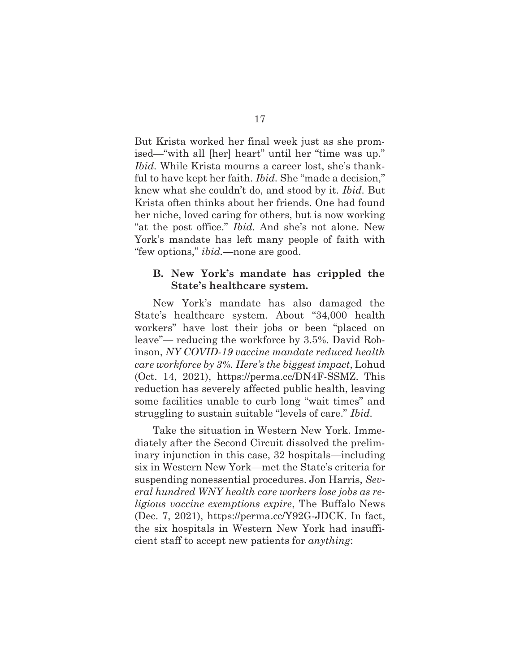But Krista worked her final week just as she promised—"with all [her] heart" until her "time was up." *Ibid.* While Krista mourns a career lost, she's thankful to have kept her faith. *Ibid.* She "made a decision," knew what she couldn't do, and stood by it. *Ibid.* But Krista often thinks about her friends. One had found her niche, loved caring for others, but is now working "at the post office." *Ibid.* And she's not alone. New York's mandate has left many people of faith with "few options," *ibid.*—none are good.

#### **B. New York's mandate has crippled the State's healthcare system.**

New York's mandate has also damaged the State's healthcare system. About "34,000 health workers" have lost their jobs or been "placed on leave"— reducing the workforce by 3.5%. David Robinson, *NY COVID-19 vaccine mandate reduced health care workforce by 3%. Here's the biggest impact*, Lohud (Oct. 14, 2021), https://perma.cc/DN4F-SSMZ. This reduction has severely affected public health, leaving some facilities unable to curb long "wait times" and struggling to sustain suitable "levels of care." *Ibid.* 

Take the situation in Western New York. Immediately after the Second Circuit dissolved the preliminary injunction in this case, 32 hospitals—including six in Western New York—met the State's criteria for suspending nonessential procedures. Jon Harris, *Several hundred WNY health care workers lose jobs as religious vaccine exemptions expire*, The Buffalo News (Dec. 7, 2021), https://perma.cc/Y92G-JDCK. In fact, the six hospitals in Western New York had insufficient staff to accept new patients for *anything*: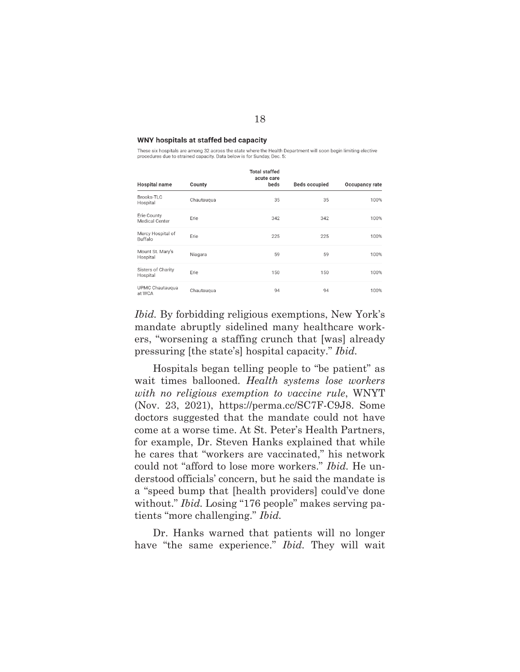#### WNY hospitals at staffed bed capacity

These six hospitals are among 32 across the state where the Health Department will soon begin limiting elective procedures due to strained capacity. Data below is for Sunday, Dec. 5:

| Hospital name                  | County     | <b>Total staffed</b><br>acute care<br>beds | <b>Beds occupied</b> | Occupancy rate |
|--------------------------------|------------|--------------------------------------------|----------------------|----------------|
| Brooks-TLC<br>Hospital         | Chautauqua | 35                                         | 35                   | 100%           |
| Erie County<br>Medical Center  | Erie       | 342                                        | 342                  | 100%           |
| Mercy Hospital of<br>Buffalo   | Erie       | 225                                        | 225                  | 100%           |
| Mount St. Mary's<br>Hospital   | Niagara    | 59                                         | 59                   | 100%           |
| Sisters of Charity<br>Hospital | Erie       | 150                                        | 150                  | 100%           |
| UPMC Chautauqua<br>at WCA      | Chautauqua | 94                                         | 94                   | 100%           |

*Ibid.* By forbidding religious exemptions, New York's mandate abruptly sidelined many healthcare workers, "worsening a staffing crunch that [was] already pressuring [the state's] hospital capacity." *Ibid.* 

 Hospitals began telling people to "be patient" as wait times ballooned. *Health systems lose workers with no religious exemption to vaccine rule*, WNYT (Nov. 23, 2021), https://perma.cc/SC7F-C9J8. Some doctors suggested that the mandate could not have come at a worse time. At St. Peter's Health Partners, for example, Dr. Steven Hanks explained that while he cares that "workers are vaccinated," his network could not "afford to lose more workers." *Ibid.* He understood officials' concern, but he said the mandate is a "speed bump that [health providers] could've done without." *Ibid.* Losing "176 people" makes serving patients "more challenging." *Ibid.*

 Dr. Hanks warned that patients will no longer have "the same experience." *Ibid.* They will wait

#### 18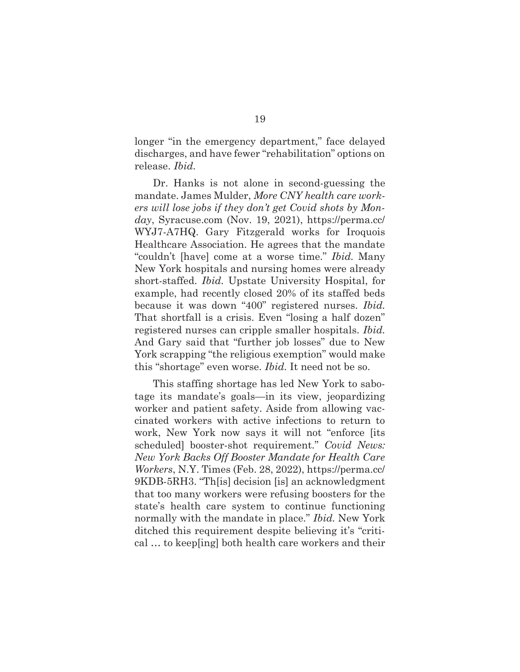longer "in the emergency department," face delayed discharges, and have fewer "rehabilitation" options on release. *Ibid.* 

 Dr. Hanks is not alone in second-guessing the mandate. James Mulder, *More CNY health care workers will lose jobs if they don't get Covid shots by Monday*, Syracuse.com (Nov. 19, 2021), https://perma.cc/ WYJ7-A7HQ. Gary Fitzgerald works for Iroquois Healthcare Association. He agrees that the mandate "couldn't [have] come at a worse time." *Ibid.* Many New York hospitals and nursing homes were already short-staffed. *Ibid.* Upstate University Hospital, for example, had recently closed 20% of its staffed beds because it was down "400" registered nurses. *Ibid.*  That shortfall is a crisis. Even "losing a half dozen" registered nurses can cripple smaller hospitals. *Ibid.*  And Gary said that "further job losses" due to New York scrapping "the religious exemption" would make this "shortage" even worse. *Ibid.* It need not be so.

 This staffing shortage has led New York to sabotage its mandate's goals—in its view, jeopardizing worker and patient safety. Aside from allowing vaccinated workers with active infections to return to work, New York now says it will not "enforce [its scheduled] booster-shot requirement." *Covid News: New York Backs Off Booster Mandate for Health Care Workers*, N.Y. Times (Feb. 28, 2022), https://perma.cc/ 9KDB-5RH3. "Th[is] decision [is] an acknowledgment that too many workers were refusing boosters for the state's health care system to continue functioning normally with the mandate in place." *Ibid.* New York ditched this requirement despite believing it's "critical … to keep[ing] both health care workers and their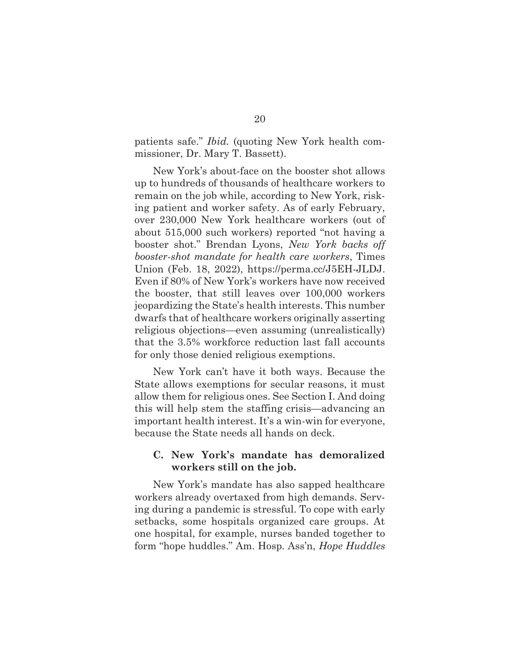patients safe." *Ibid.* (quoting New York health commissioner, Dr. Mary T. Bassett).

 New York's about-face on the booster shot allows up to hundreds of thousands of healthcare workers to remain on the job while, according to New York, risking patient and worker safety. As of early February, over 230,000 New York healthcare workers (out of about 515,000 such workers) reported "not having a booster shot." Brendan Lyons, *New York backs off booster-shot mandate for health care workers*, Times Union (Feb. 18, 2022), https://perma.cc/J5EH-JLDJ. Even if 80% of New York's workers have now received the booster, that still leaves over 100,000 workers jeopardizing the State's health interests. This number dwarfs that of healthcare workers originally asserting religious objections—even assuming (unrealistically) that the 3.5% workforce reduction last fall accounts for only those denied religious exemptions.

 New York can't have it both ways. Because the State allows exemptions for secular reasons, it must allow them for religious ones. See Section I. And doing this will help stem the staffing crisis—advancing an important health interest. It's a win-win for everyone, because the State needs all hands on deck.

#### **C. New York's mandate has demoralized workers still on the job.**

New York's mandate has also sapped healthcare workers already overtaxed from high demands. Serving during a pandemic is stressful. To cope with early setbacks, some hospitals organized care groups. At one hospital, for example, nurses banded together to form "hope huddles." Am. Hosp. Ass'n, *Hope Huddles*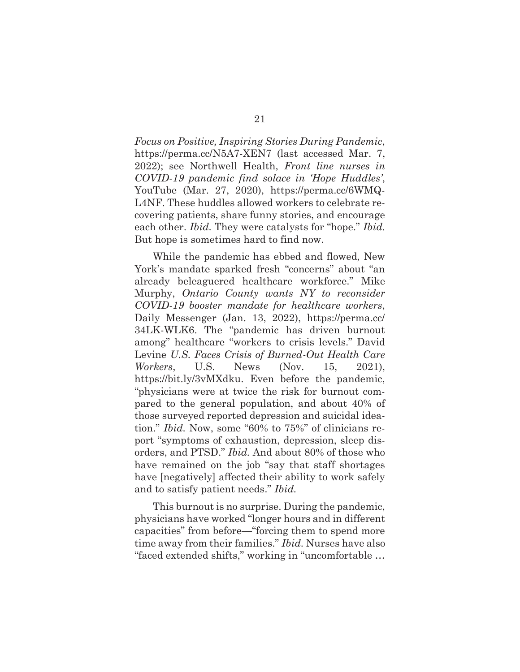*Focus on Positive, Inspiring Stories During Pandemic*, https://perma.cc/N5A7-XEN7 (last accessed Mar. 7, 2022); see Northwell Health, *Front line nurses in COVID-19 pandemic find solace in 'Hope Huddles'*, YouTube (Mar. 27, 2020), https://perma.cc/6WMQ-L4NF. These huddles allowed workers to celebrate recovering patients, share funny stories, and encourage each other. *Ibid.* They were catalysts for "hope." *Ibid.*  But hope is sometimes hard to find now.

While the pandemic has ebbed and flowed, New York's mandate sparked fresh "concerns" about "an already beleaguered healthcare workforce." Mike Murphy, *Ontario County wants NY to reconsider COVID-19 booster mandate for healthcare workers*, Daily Messenger (Jan. 13, 2022), https://perma.cc/ 34LK-WLK6. The "pandemic has driven burnout among" healthcare "workers to crisis levels." David Levine *U.S. Faces Crisis of Burned-Out Health Care Workers*, U.S. News (Nov. 15, 2021), https://bit.ly/3vMXdku. Even before the pandemic, "physicians were at twice the risk for burnout compared to the general population, and about 40% of those surveyed reported depression and suicidal ideation." *Ibid.* Now, some "60% to 75%" of clinicians report "symptoms of exhaustion, depression, sleep disorders, and PTSD." *Ibid.* And about 80% of those who have remained on the job "say that staff shortages have [negatively] affected their ability to work safely and to satisfy patient needs." *Ibid.* 

This burnout is no surprise. During the pandemic, physicians have worked "longer hours and in different capacities" from before—"forcing them to spend more time away from their families." *Ibid.* Nurses have also "faced extended shifts," working in "uncomfortable …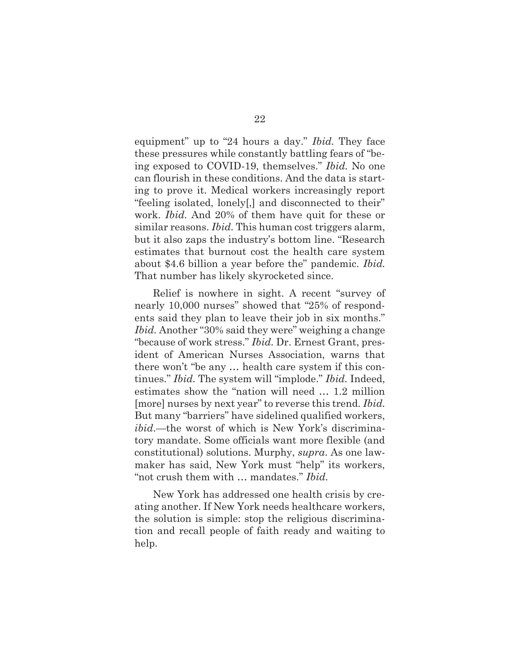equipment" up to "24 hours a day." *Ibid.* They face these pressures while constantly battling fears of "being exposed to COVID-19, themselves." *Ibid.* No one can flourish in these conditions. And the data is starting to prove it. Medical workers increasingly report "feeling isolated, lonely[,] and disconnected to their" work. *Ibid.* And 20% of them have quit for these or similar reasons. *Ibid.* This human cost triggers alarm, but it also zaps the industry's bottom line. "Research estimates that burnout cost the health care system about \$4.6 billion a year before the" pandemic. *Ibid.*  That number has likely skyrocketed since.

Relief is nowhere in sight. A recent "survey of nearly 10,000 nurses" showed that "25% of respondents said they plan to leave their job in six months." *Ibid.* Another "30% said they were" weighing a change "because of work stress." *Ibid.* Dr. Ernest Grant, president of American Nurses Association, warns that there won't "be any … health care system if this continues." *Ibid.* The system will "implode." *Ibid.* Indeed, estimates show the "nation will need … 1.2 million [more] nurses by next year" to reverse this trend. *Ibid.*  But many "barriers" have sidelined qualified workers, *ibid*.—the worst of which is New York's discriminatory mandate. Some officials want more flexible (and constitutional) solutions. Murphy, *supra*. As one lawmaker has said, New York must "help" its workers, "not crush them with … mandates." *Ibid.* 

New York has addressed one health crisis by creating another. If New York needs healthcare workers, the solution is simple: stop the religious discrimination and recall people of faith ready and waiting to help.